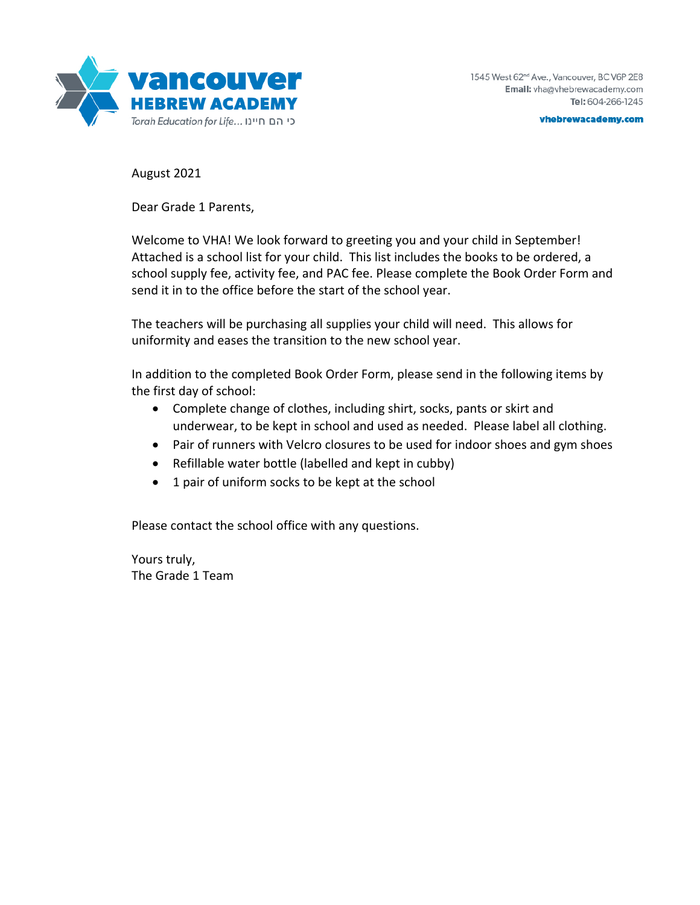

vhebrewacademy.com

August 2021

Dear Grade 1 Parents,

Welcome to VHA! We look forward to greeting you and your child in September! Attached is a school list for your child. This list includes the books to be ordered, a school supply fee, activity fee, and PAC fee. Please complete the Book Order Form and send it in to the office before the start of the school year.

The teachers will be purchasing all supplies your child will need. This allows for uniformity and eases the transition to the new school year.

In addition to the completed Book Order Form, please send in the following items by the first day of school:

- Complete change of clothes, including shirt, socks, pants or skirt and underwear, to be kept in school and used as needed. Please label all clothing.
- Pair of runners with Velcro closures to be used for indoor shoes and gym shoes
- Refillable water bottle (labelled and kept in cubby)
- 1 pair of uniform socks to be kept at the school

Please contact the school office with any questions.

Yours truly, The Grade 1 Team